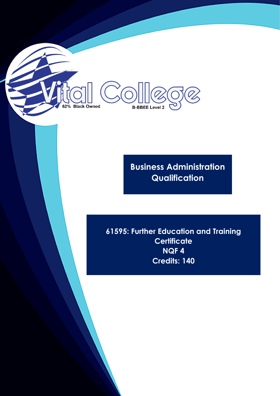**Business Administration Qualification**

**B-BBEE Level 2** 

62% Black Owned

**61595: Further Education and Training Certificate NQF 4 Credits: 140**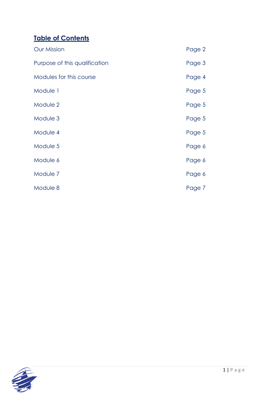# **Table of Contents**

| <b>Our Mission</b>            | Page 2 |
|-------------------------------|--------|
| Purpose of this qualification | Page 3 |
| Modules for this course       | Page 4 |
| Module 1                      | Page 5 |
| Module 2                      | Page 5 |
| Module 3                      | Page 5 |
| Module 4                      | Page 5 |
| Module 5                      | Page 6 |
| Module 6                      | Page 6 |
| Module 7                      | Page 6 |
| Module 8                      | Page 7 |

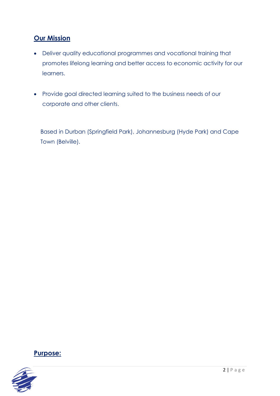# **Our Mission**

- Deliver quality educational programmes and vocational training that promotes lifelong learning and better access to economic activity for our learners.
- Provide goal directed learning suited to the business needs of our corporate and other clients.

Based in Durban (Springfield Park), Johannesburg (Hyde Park) and Cape Town (Belville).



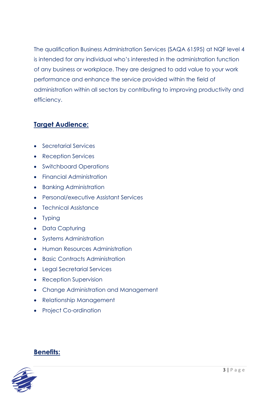The qualification Business Administration Services (SAQA 61595) at NQF level 4 is intended for any individual who's interested in the administration function of any business or workplace. They are designed to add value to your work performance and enhance the service provided within the field of administration within all sectors by contributing to improving productivity and efficiency.

#### **Target Audience:**

- Secretarial Services
- Reception Services
- Switchboard Operations
- Financial Administration
- Banking Administration
- Personal/executive Assistant Services
- Technical Assistance
- Typing
- Data Capturing
- Systems Administration
- Human Resources Administration
- Basic Contracts Administration
- Legal Secretarial Services
- Reception Supervision
- Change Administration and Management
- Relationship Management
- Project Co-ordination

#### **Benefits:**

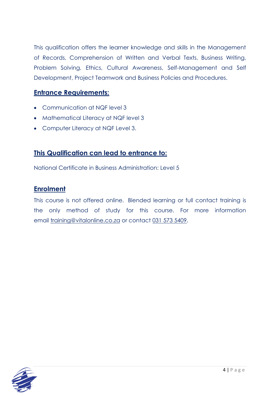This qualification offers the learner knowledge and skills in the Management of Records, Comprehension of Written and Verbal Texts, Business Writing, Problem Solving, Ethics, Cultural Awareness, Self-Management and Self Development, Project Teamwork and Business Policies and Procedures.

#### **Entrance Requirements:**

- Communication at NQF level 3
- Mathematical Literacy at NQF level 3
- Computer Literacy at NQF Level 3.

### **This Qualification can lead to entrance to:**

National Certificate in Business Administration: Level 5

#### **Enrolment**

This course is not offered online. Blended learning or full contact training is the only method of study for this course. For more information email [training@vitalonline.co.za](about:blank) or contact 031 573 [5409.](about:blank)

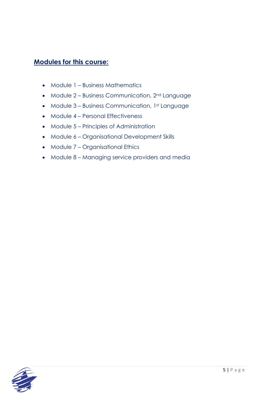#### **Modules for this course:**

- Module 1 Business Mathematics
- Module 2 Business Communication, 2<sup>nd</sup> Language
- Module 3 Business Communication, 1st Language
- Module 4 Personal Effectiveness
- Module 5 Principles of Administration
- Module 6 Organisational Development Skills
- Module 7 Organisational Ethics
- Module 8 Managing service providers and media

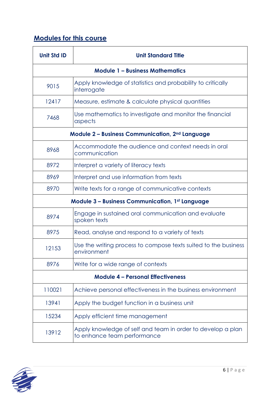# **Modules for this course**

| <b>Unit Std ID</b>                                          | <b>Unit Standard Title</b>                                                                 |  |
|-------------------------------------------------------------|--------------------------------------------------------------------------------------------|--|
| <b>Module 1 - Business Mathematics</b>                      |                                                                                            |  |
| 9015                                                        | Apply knowledge of statistics and probability to critically<br>interrogate                 |  |
| 12417                                                       | Measure, estimate & calculate physical quantities                                          |  |
| 7468                                                        | Use mathematics to investigate and monitor the financial<br>aspects                        |  |
| Module 2 – Business Communication, 2 <sup>nd</sup> Language |                                                                                            |  |
| 8968                                                        | Accommodate the audience and context needs in oral<br>communication                        |  |
| 8972                                                        | Interpret a variety of literacy texts                                                      |  |
| 8969                                                        | Interpret and use information from texts                                                   |  |
| 8970                                                        | Write texts for a range of communicative contexts                                          |  |
| <b>Module 3 - Business Communication, 1st Language</b>      |                                                                                            |  |
| 8974                                                        | Engage in sustained oral communication and evaluate<br>spoken texts                        |  |
| 8975                                                        | Read, analyse and respond to a variety of texts                                            |  |
| 12153                                                       | Use the writing process to compose texts suited to the business<br>environment             |  |
| 8976                                                        | Write for a wide range of contexts                                                         |  |
| <b>Module 4 - Personal Effectiveness</b>                    |                                                                                            |  |
| 110021                                                      | Achieve personal effectiveness in the business environment                                 |  |
| 13941                                                       | Apply the budget function in a business unit                                               |  |
| 15234                                                       | Apply efficient time management                                                            |  |
| 13912                                                       | Apply knowledge of self and team in order to develop a plan<br>to enhance team performance |  |

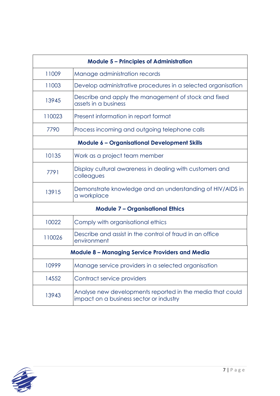| <b>Module 5 - Principles of Administration</b>         |                                                                                                      |  |
|--------------------------------------------------------|------------------------------------------------------------------------------------------------------|--|
| 11009                                                  | Manage administration records                                                                        |  |
| 11003                                                  | Develop administrative procedures in a selected organisation                                         |  |
| 13945                                                  | Describe and apply the management of stock and fixed<br>assets in a business                         |  |
| 110023                                                 | Present information in report format                                                                 |  |
| 7790                                                   | Process incoming and outgoing telephone calls                                                        |  |
| <b>Module 6 - Organisational Development Skills</b>    |                                                                                                      |  |
| 10135                                                  | Work as a project team member                                                                        |  |
| 7791                                                   | Display cultural awareness in dealing with customers and<br>colleagues                               |  |
| 13915                                                  | Demonstrate knowledge and an understanding of HIV/AIDS in<br>a workplace                             |  |
| <b>Module 7 - Organisational Ethics</b>                |                                                                                                      |  |
| 10022                                                  | Comply with organisational ethics                                                                    |  |
| 110026                                                 | Describe and assist in the control of fraud in an office<br>environment                              |  |
| <b>Module 8 - Managing Service Providers and Media</b> |                                                                                                      |  |
| 10999                                                  | Manage service providers in a selected organisation                                                  |  |
| 14552                                                  | Contract service providers                                                                           |  |
| 13943                                                  | Analyse new developments reported in the media that could<br>impact on a business sector or industry |  |